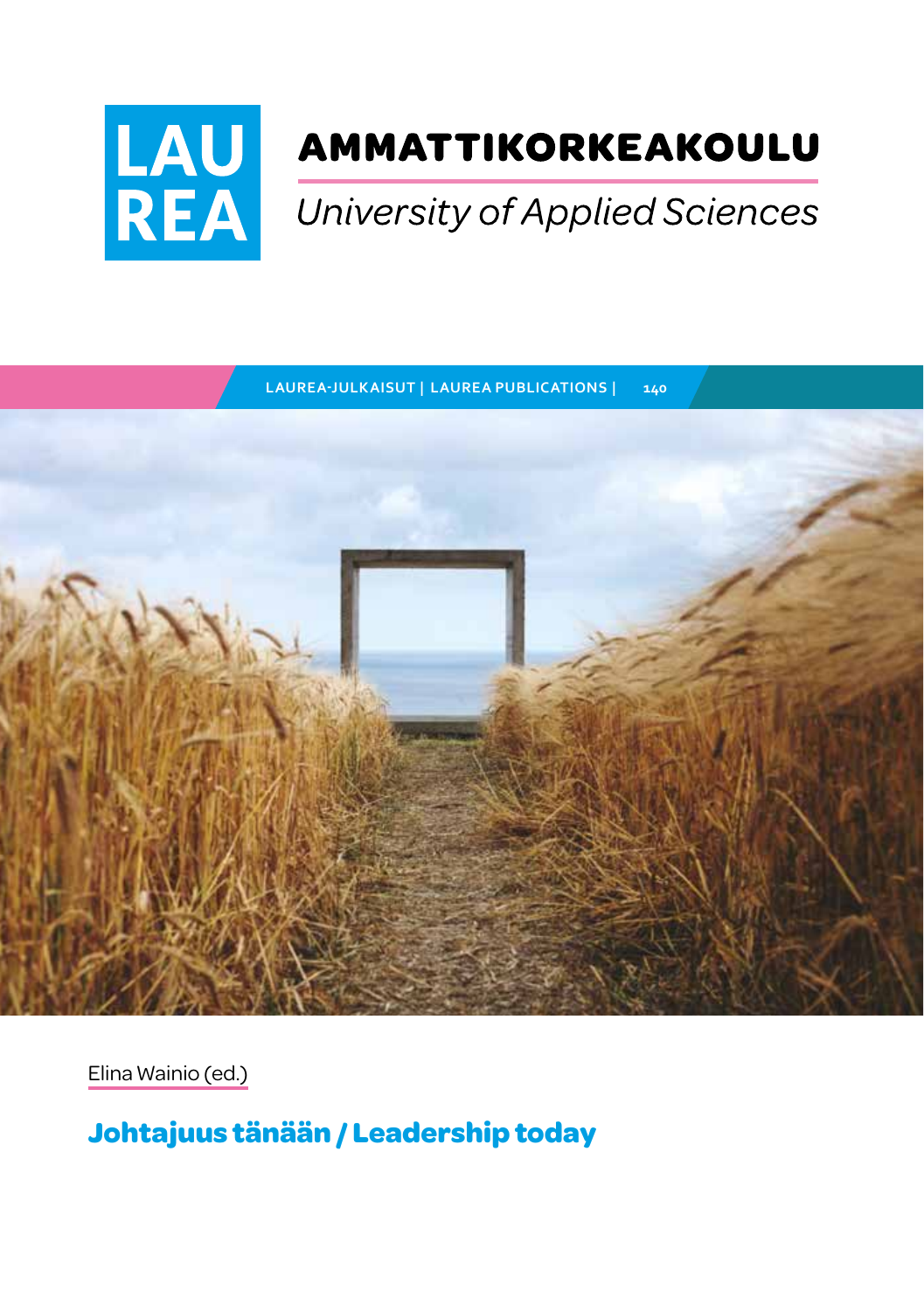

# AMMATTIKORKEAKOULU

# University of Applied Sciences

**LAUREA-JULKAISUT | LAUREA PUBLICATIONS | 140**



Elina Wainio (ed.)

**Johtajuus tänään / Leadership today**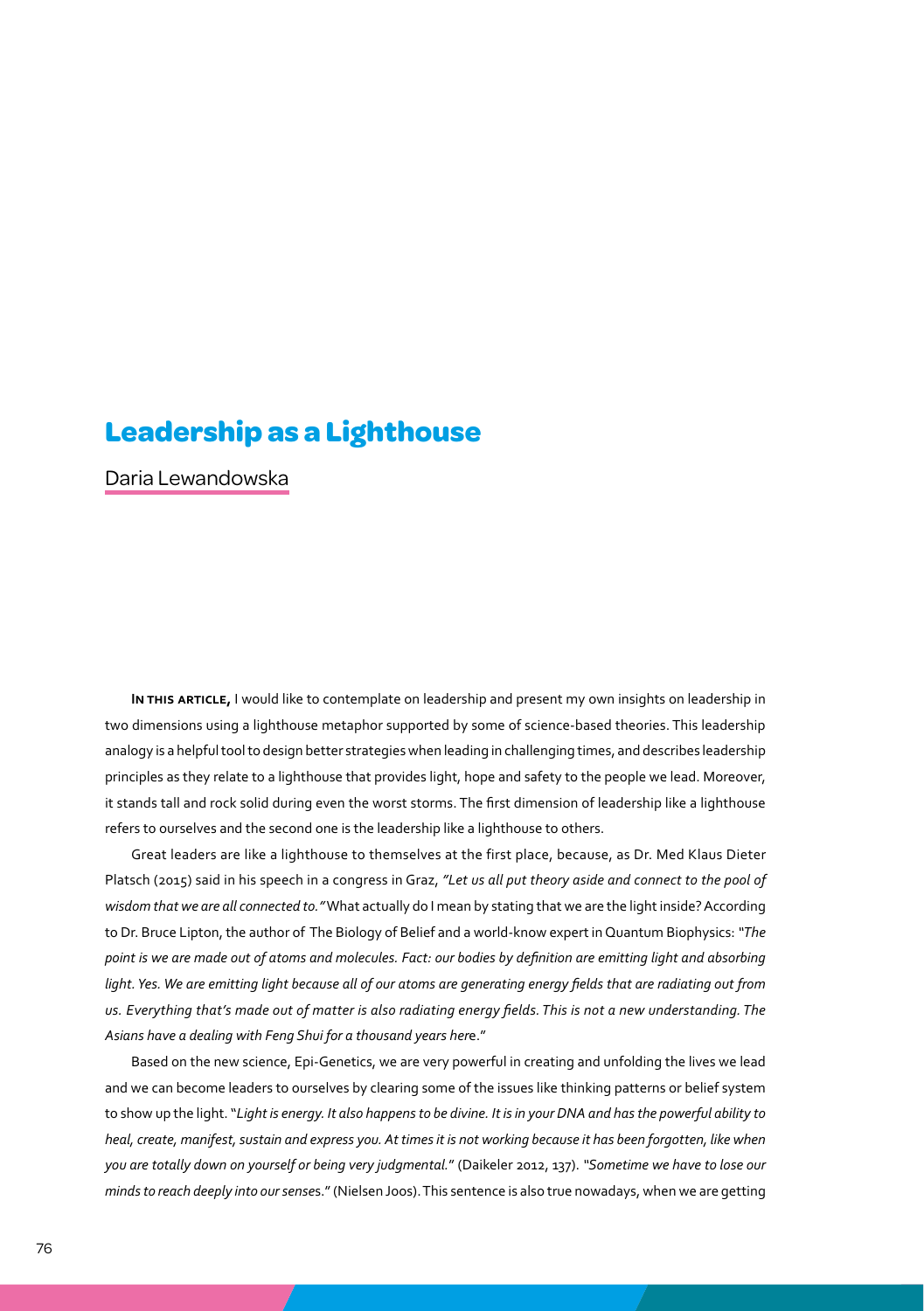### **Leadership as a Lighthouse**

Daria Lewandowska

**In this article,** I would like to contemplate on leadership and present my own insights on leadership in two dimensions using a lighthouse metaphor supported by some of science-based theories. This leadership analogy is a helpful tool to design better strategies when leading in challenging times, and describes leadership principles as they relate to a lighthouse that provides light, hope and safety to the people we lead. Moreover, it stands tall and rock solid during even the worst storms. The first dimension of leadership like a lighthouse refers to ourselves and the second one is the leadership like a lighthouse to others.

Great leaders are like a lighthouse to themselves at the first place, because, as Dr. Med Klaus Dieter Platsch (2015) said in his speech in a congress in Graz, *"Let us all put theory aside and connect to the pool of wisdom that we are all connected to."* What actually do I mean by stating that we are the light inside? According to Dr. Bruce Lipton, the author of The Biology of Belief and a world-know expert in Quantum Biophysics: *"The point is we are made out of atoms and molecules. Fact: our bodies by definition are emitting light and absorbing* light. Yes. We are emitting light because all of our atoms are generating energy fields that are radiating out from *us. Everything that's made out of matter is also radiating energy fields. This is not a new understanding. The Asians have a dealing with Feng Shui for a thousand years her*e."

Based on the new science, Epi-Genetics, we are very powerful in creating and unfolding the lives we lead and we can become leaders to ourselves by clearing some of the issues like thinking patterns or belief system to show up the light. "*Light is energy. It also happens to be divine. It is in your DNA and has the powerful ability to heal, create, manifest, sustain and express you. At times it is not working because it has been forgotten, like when you are totally down on yourself or being very judgmental.*" (Daikeler 2012, 137). *"Sometime we have to lose our minds to reach deeply into our sense*s." (Nielsen Joos). This sentence is also true nowadays, when we are getting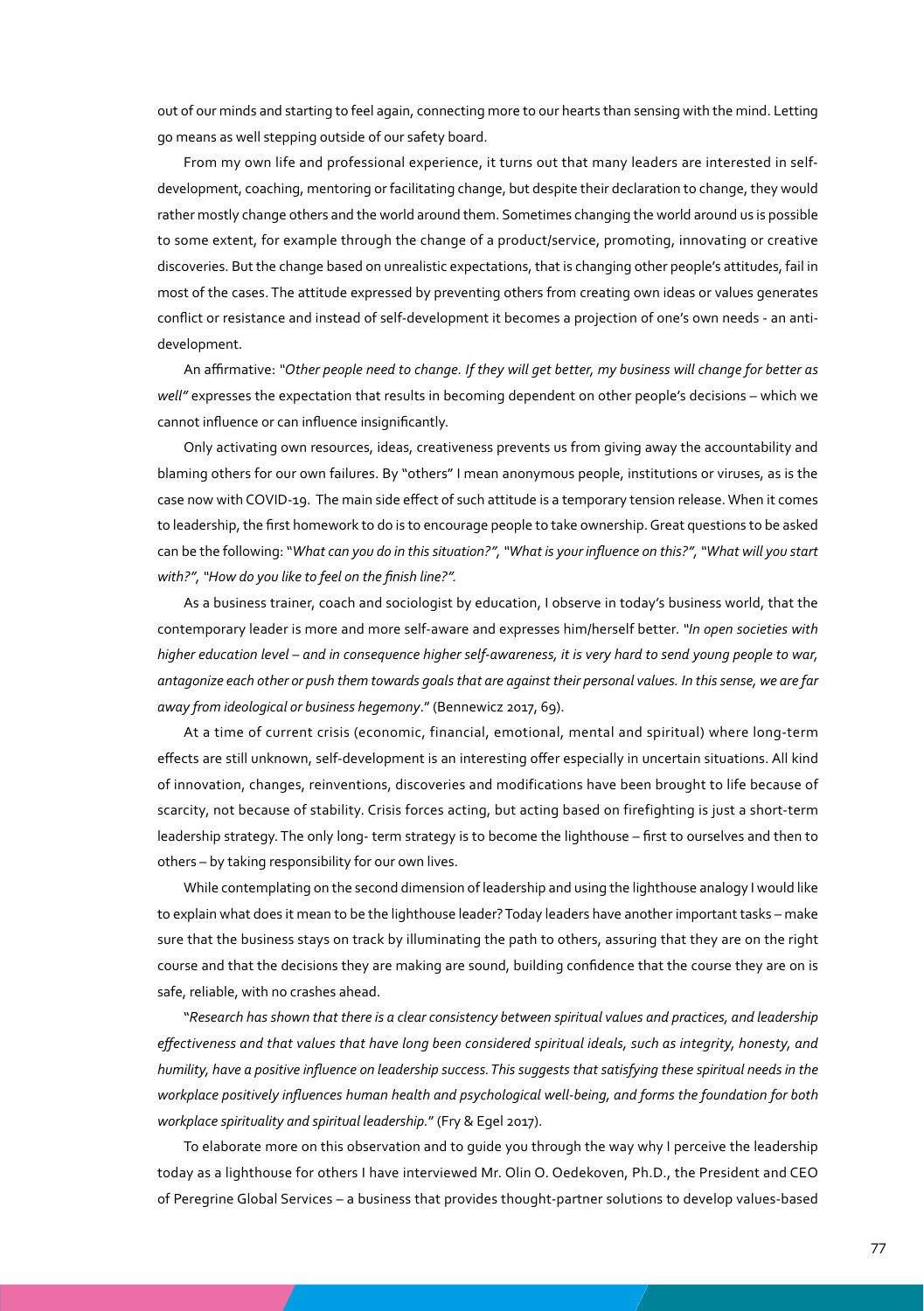out of our minds and starting to feel again, connecting more to our hearts than sensing with the mind. Letting go means as well stepping outside of our safety board.

From my own life and professional experience, it turns out that many leaders are interested in selfdevelopment, coaching, mentoring or facilitating change, but despite their declaration to change, they would rather mostly change others and the world around them. Sometimes changing the world around us is possible to some extent, for example through the change of a product/service, promoting, innovating or creative discoveries. But the change based on unrealistic expectations, that is changing other people's attitudes, fail in most of the cases. The attitude expressed by preventing others from creating own ideas or values generates conflict or resistance and instead of self-development it becomes a projection of one's own needs - an antidevelopment.

An affirmative: *"Other people need to change. If they will get better, my business will change for better as well"* expresses the expectation that results in becoming dependent on other people's decisions – which we cannot influence or can influence insignificantly.

Only activating own resources, ideas, creativeness prevents us from giving away the accountability and blaming others for our own failures. By "others" I mean anonymous people, institutions or viruses, as is the case now with COVID-19. The main side effect of such attitude is a temporary tension release. When it comes to leadership, the first homework to do is to encourage people to take ownership. Great questions to be asked can be the following: "*What can you do in this situation?", "What is your influence on this?", "What will you start with?", "How do you like to feel on the finish line?".*

As a business trainer, coach and sociologist by education, I observe in today's business world, that the contemporary leader is more and more self-aware and expresses him/herself better. *"In open societies with higher education level – and in consequence higher self-awareness, it is very hard to send young people to war, antagonize each other or push them towards goals that are against their personal values. In this sense, we are far away from ideological or business hegemony*." (Bennewicz 2017, 69).

At a time of current crisis (economic, financial, emotional, mental and spiritual) where long-term effects are still unknown, self-development is an interesting offer especially in uncertain situations. All kind of innovation, changes, reinventions, discoveries and modifications have been brought to life because of scarcity, not because of stability. Crisis forces acting, but acting based on firefighting is just a short-term leadership strategy. The only long- term strategy is to become the lighthouse – first to ourselves and then to others – by taking responsibility for our own lives.

While contemplating on the second dimension of leadership and using the lighthouse analogy I would like to explain what does it mean to be the lighthouse leader? Today leaders have another important tasks – make sure that the business stays on track by illuminating the path to others, assuring that they are on the right course and that the decisions they are making are sound, building confidence that the course they are on is safe, reliable, with no crashes ahead.

"*Research has shown that there is a clear consistency between spiritual values and practices, and leadership effectiveness and that values that have long been considered spiritual ideals, such as integrity, honesty, and humility, have a positive influence on leadership success. This suggests that satisfying these spiritual needs in the workplace positively influences human health and psychological well-being, and forms the foundation for both workplace spirituality and spiritual leadership.*" (Fry & Egel 2017).

To elaborate more on this observation and to guide you through the way why I perceive the leadership today as a lighthouse for others I have interviewed Mr. Olin O. Oedekoven, Ph.D., the President and CEO of Peregrine Global Services – a business that provides thought-partner solutions to develop values-based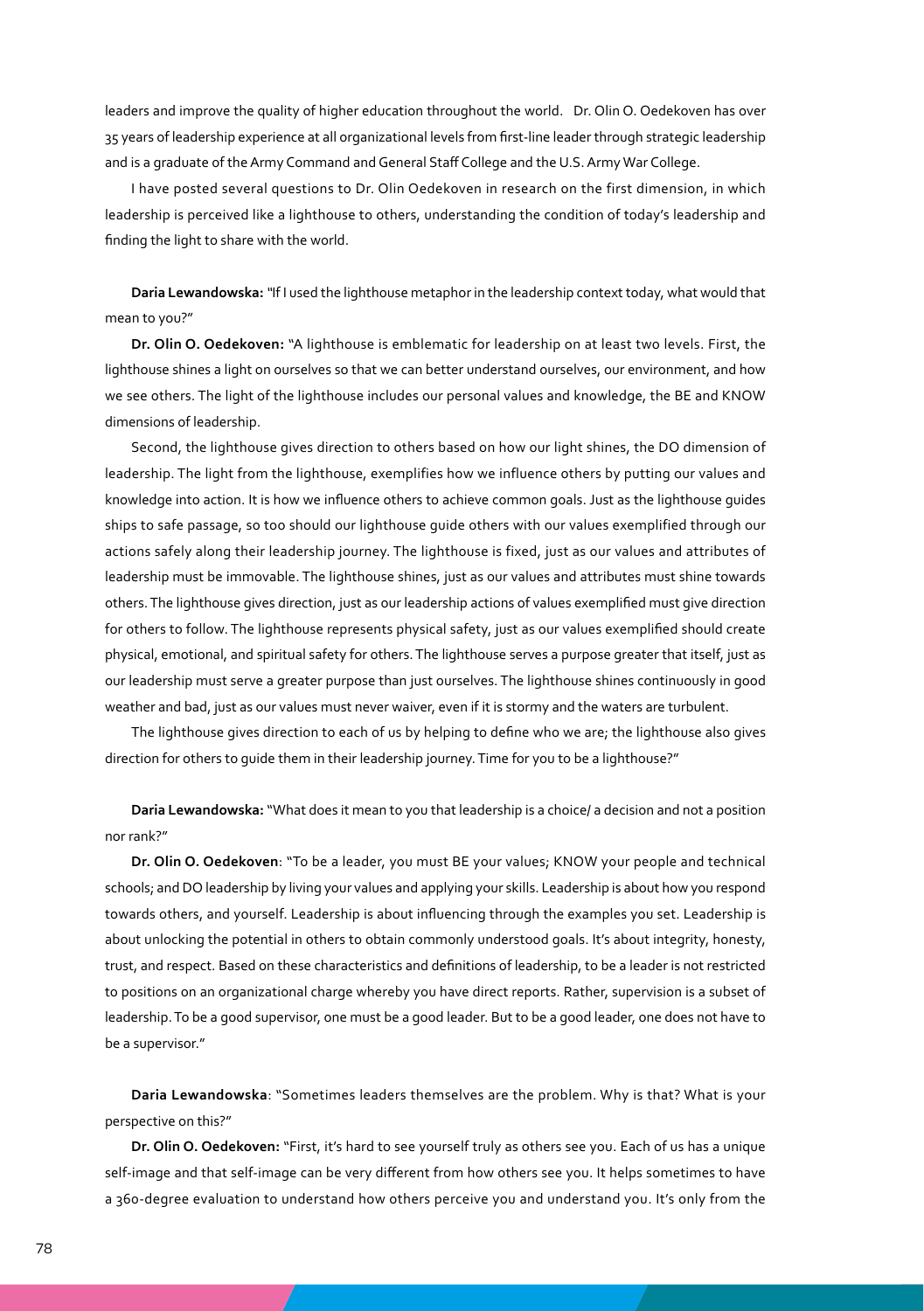leaders and improve the quality of higher education throughout the world. Dr. Olin O. Oedekoven has over 35 years of leadership experience at all organizational levels from first-line leader through strategic leadership and is a graduate of the Army Command and General Staff College and the U.S. Army War College.

I have posted several questions to Dr. Olin Oedekoven in research on the first dimension, in which leadership is perceived like a lighthouse to others, understanding the condition of today's leadership and finding the light to share with the world.

**Daria Lewandowska:***"*If I used the lighthouse metaphor in the leadership context today, what would that mean to you?"

**Dr. Olin O. Oedekoven:** "A lighthouse is emblematic for leadership on at least two levels. First, the lighthouse shines a light on ourselves so that we can better understand ourselves, our environment, and how we see others. The light of the lighthouse includes our personal values and knowledge, the BE and KNOW dimensions of leadership.

Second, the lighthouse gives direction to others based on how our light shines, the DO dimension of leadership. The light from the lighthouse, exemplifies how we influence others by putting our values and knowledge into action. It is how we influence others to achieve common goals. Just as the lighthouse guides ships to safe passage, so too should our lighthouse guide others with our values exemplified through our actions safely along their leadership journey. The lighthouse is fixed, just as our values and attributes of leadership must be immovable. The lighthouse shines, just as our values and attributes must shine towards others. The lighthouse gives direction, just as our leadership actions of values exemplified must give direction for others to follow. The lighthouse represents physical safety, just as our values exemplified should create physical, emotional, and spiritual safety for others. The lighthouse serves a purpose greater that itself, just as our leadership must serve a greater purpose than just ourselves. The lighthouse shines continuously in good weather and bad, just as our values must never waiver, even if it is stormy and the waters are turbulent.

The lighthouse gives direction to each of us by helping to define who we are; the lighthouse also gives direction for others to guide them in their leadership journey. Time for you to be a lighthouse?"

**Daria Lewandowska:** "What does it mean to you that leadership is a choice/ a decision and not a position nor rank?"

**Dr. Olin O. Oedekoven**: "To be a leader, you must BE your values; KNOW your people and technical schools; and DO leadership by living your values and applying your skills. Leadership is about how you respond towards others, and yourself. Leadership is about influencing through the examples you set. Leadership is about unlocking the potential in others to obtain commonly understood goals. It's about integrity, honesty, trust, and respect. Based on these characteristics and definitions of leadership, to be a leader is not restricted to positions on an organizational charge whereby you have direct reports. Rather, supervision is a subset of leadership. To be a good supervisor, one must be a good leader. But to be a good leader, one does not have to be a supervisor."

**Daria Lewandowska**: "Sometimes leaders themselves are the problem. Why is that? What is your perspective on this?"

**Dr. Olin O. Oedekoven:** "First, it's hard to see yourself truly as others see you. Each of us has a unique self-image and that self-image can be very different from how others see you. It helps sometimes to have a 360-degree evaluation to understand how others perceive you and understand you. It's only from the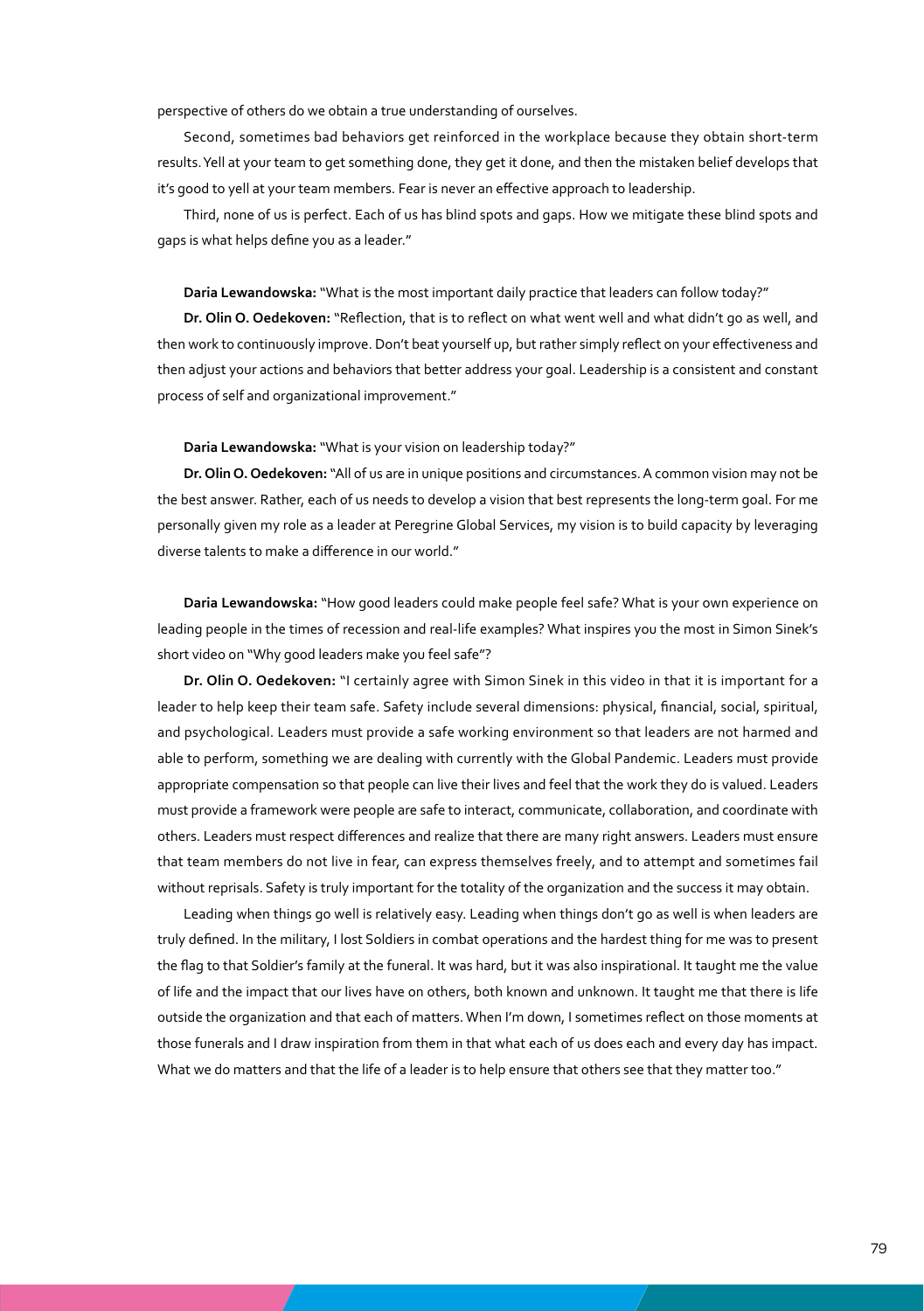perspective of others do we obtain a true understanding of ourselves.

Second, sometimes bad behaviors get reinforced in the workplace because they obtain short-term results. Yell at your team to get something done, they get it done, and then the mistaken belief develops that it's good to yell at your team members. Fear is never an effective approach to leadership.

Third, none of us is perfect. Each of us has blind spots and gaps. How we mitigate these blind spots and gaps is what helps define you as a leader."

#### **Daria Lewandowska:** "What is the most important daily practice that leaders can follow today?"

**Dr. Olin O. Oedekoven:** "Reflection, that is to reflect on what went well and what didn't go as well, and then work to continuously improve. Don't beat yourself up, but rather simply reflect on your effectiveness and then adjust your actions and behaviors that better address your goal. Leadership is a consistent and constant process of self and organizational improvement."

### **Daria Lewandowska:** "What is your vision on leadership today?"

**Dr. Olin O. Oedekoven:** "All of us are in unique positions and circumstances. A common vision may not be the best answer. Rather, each of us needs to develop a vision that best represents the long-term goal. For me personally given my role as a leader at Peregrine Global Services, my vision is to build capacity by leveraging diverse talents to make a difference in our world."

**Daria Lewandowska:** "How good leaders could make people feel safe? What is your own experience on leading people in the times of recession and real-life examples? What inspires you the most in Simon Sinek's short video on "Why good leaders make you feel safe"?

**Dr. Olin O. Oedekoven:** "I certainly agree with Simon Sinek in this video in that it is important for a leader to help keep their team safe. Safety include several dimensions: physical, financial, social, spiritual, and psychological. Leaders must provide a safe working environment so that leaders are not harmed and able to perform, something we are dealing with currently with the Global Pandemic. Leaders must provide appropriate compensation so that people can live their lives and feel that the work they do is valued. Leaders must provide a framework were people are safe to interact, communicate, collaboration, and coordinate with others. Leaders must respect differences and realize that there are many right answers. Leaders must ensure that team members do not live in fear, can express themselves freely, and to attempt and sometimes fail without reprisals. Safety is truly important for the totality of the organization and the success it may obtain.

Leading when things go well is relatively easy. Leading when things don't go as well is when leaders are truly defined. In the military, I lost Soldiers in combat operations and the hardest thing for me was to present the flag to that Soldier's family at the funeral. It was hard, but it was also inspirational. It taught me the value of life and the impact that our lives have on others, both known and unknown. It taught me that there is life outside the organization and that each of matters. When I'm down, I sometimes reflect on those moments at those funerals and I draw inspiration from them in that what each of us does each and every day has impact. What we do matters and that the life of a leader is to help ensure that others see that they matter too."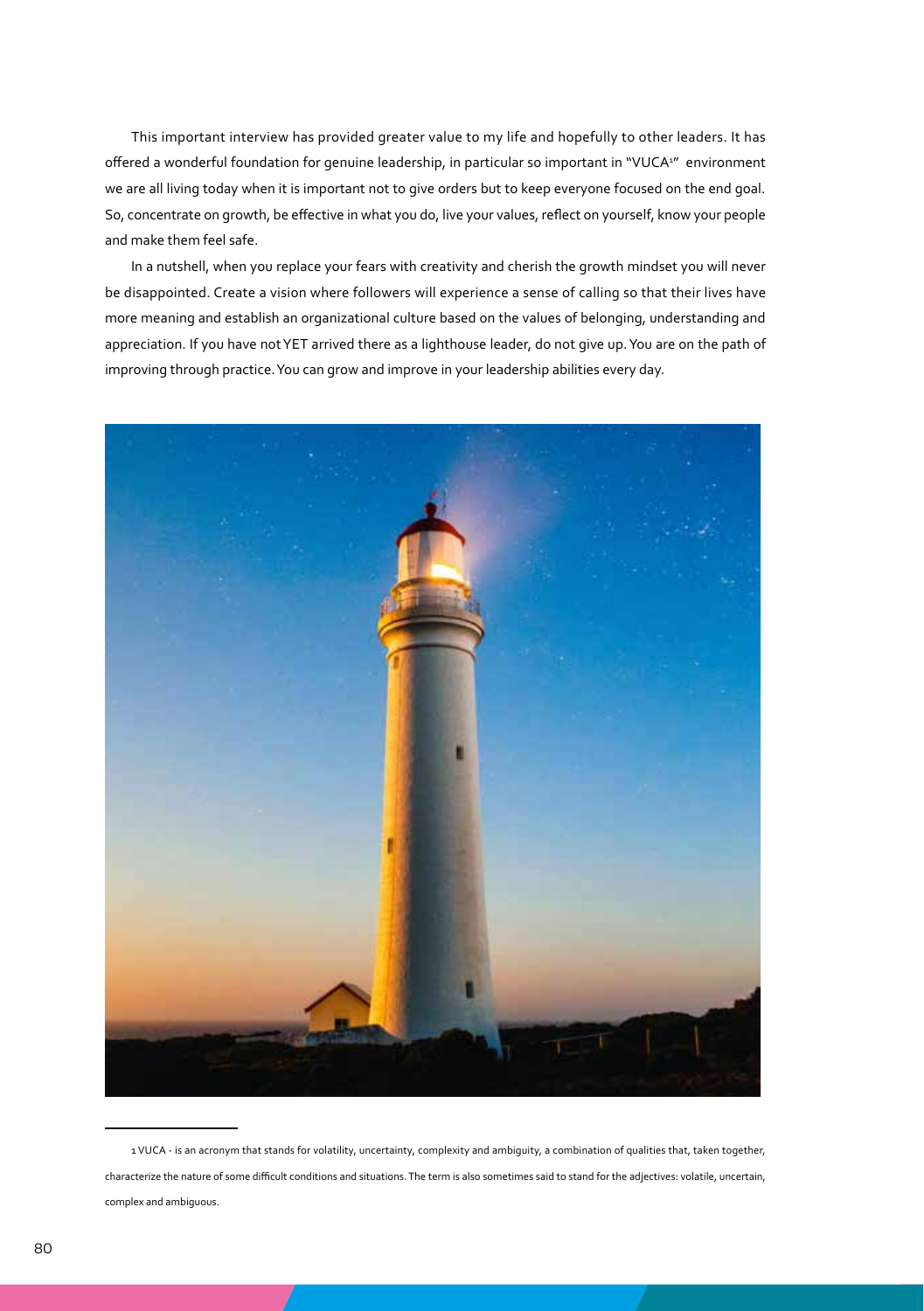This important interview has provided greater value to my life and hopefully to other leaders. It has offered a wonderful foundation for genuine leadership, in particular so important in "VUCA<sup>2</sup>" environment we are all living today when it is important not to give orders but to keep everyone focused on the end goal. So, concentrate on growth, be effective in what you do, live your values, reflect on yourself, know your people and make them feel safe.

In a nutshell, when you replace your fears with creativity and cherish the growth mindset you will never be disappointed. Create a vision where followers will experience a sense of calling so that their lives have more meaning and establish an organizational culture based on the values of belonging, understanding and appreciation. If you have not YET arrived there as a lighthouse leader, do not give up. You are on the path of improving through practice. You can grow and improve in your leadership abilities every day.



<sup>1</sup> VUCA - is an acronym that stands for volatility, uncertainty, complexity and ambiguity, a combination of qualities that, taken together, characterize the nature of some difficult conditions and situations. The term is also sometimes said to stand for the adjectives: volatile, uncertain, complex and ambiguous.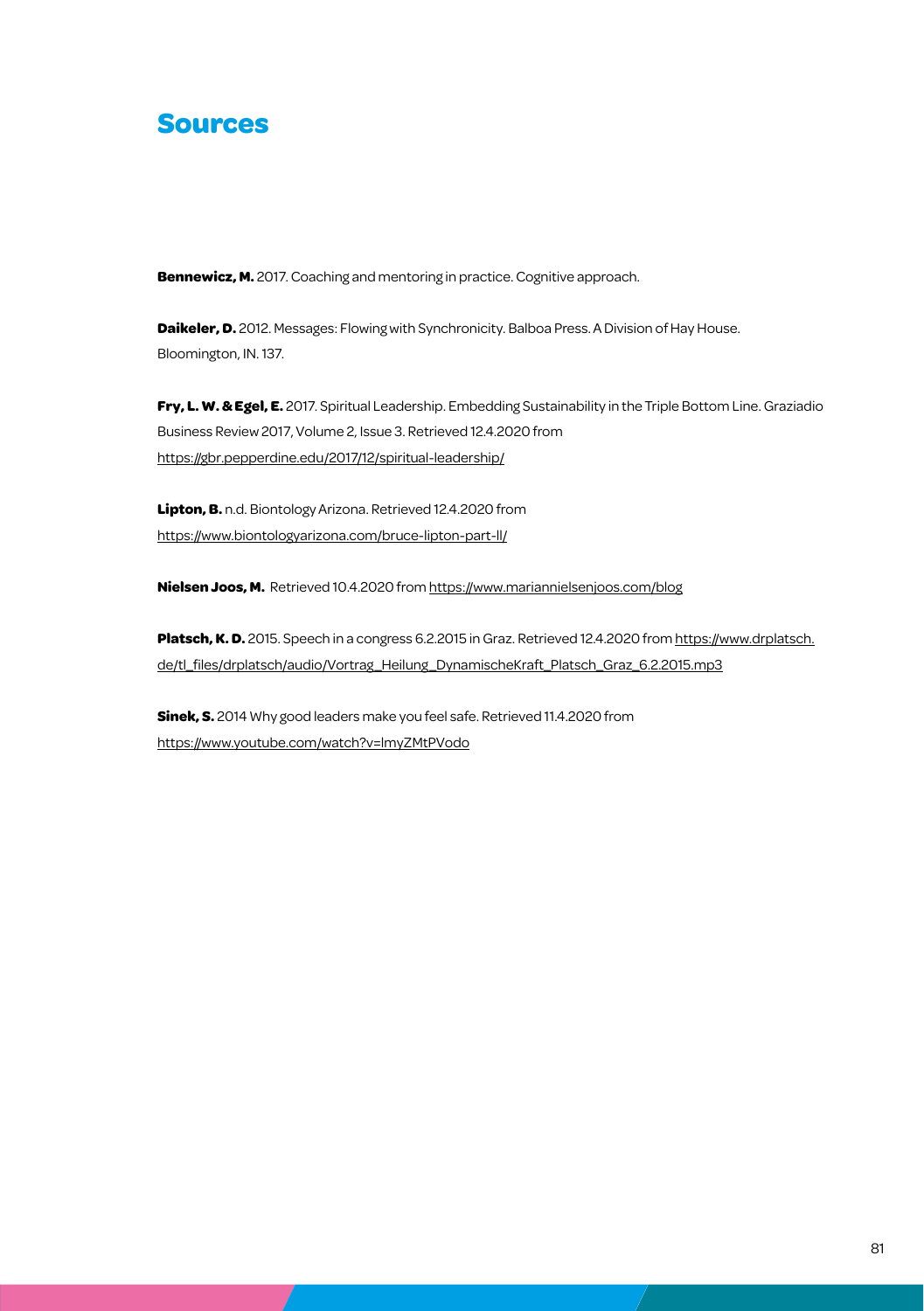### **Sources**

**Bennewicz, M.** 2017. Coaching and mentoring in practice. Cognitive approach.

**Daikeler, D.** 2012. Messages: Flowing with Synchronicity. Balboa Press. A Division of Hay House. Bloomington, IN. 137.

**Fry, L. W. & Egel, E.** 2017. Spiritual Leadership. Embedding Sustainability in the Triple Bottom Line. Graziadio Business Review 2017, Volume 2, Issue 3. Retrieved 12.4.2020 from https://gbr.pepperdine.edu/2017/12/spiritual-leadership/

**Lipton, B.** n.d. Biontology Arizona. Retrieved 12.4.2020 from https://www.biontologyarizona.com/bruce-lipton-part-ll/

**Nielsen Joos, M.** Retrieved 10.4.2020 from https://www.mariannielsenjoos.com/blog

Platsch, K. D. 2015. Speech in a congress 6.2.2015 in Graz. Retrieved 12.4.2020 from https://www.drplatsch. de/tl\_files/drplatsch/audio/Vortrag\_Heilung\_DynamischeKraft\_Platsch\_Graz\_6.2.2015.mp3

**Sinek, S.** 2014 Why good leaders make you feel safe. Retrieved 11.4.2020 from https://www.youtube.com/watch?v=lmyZMtPVodo